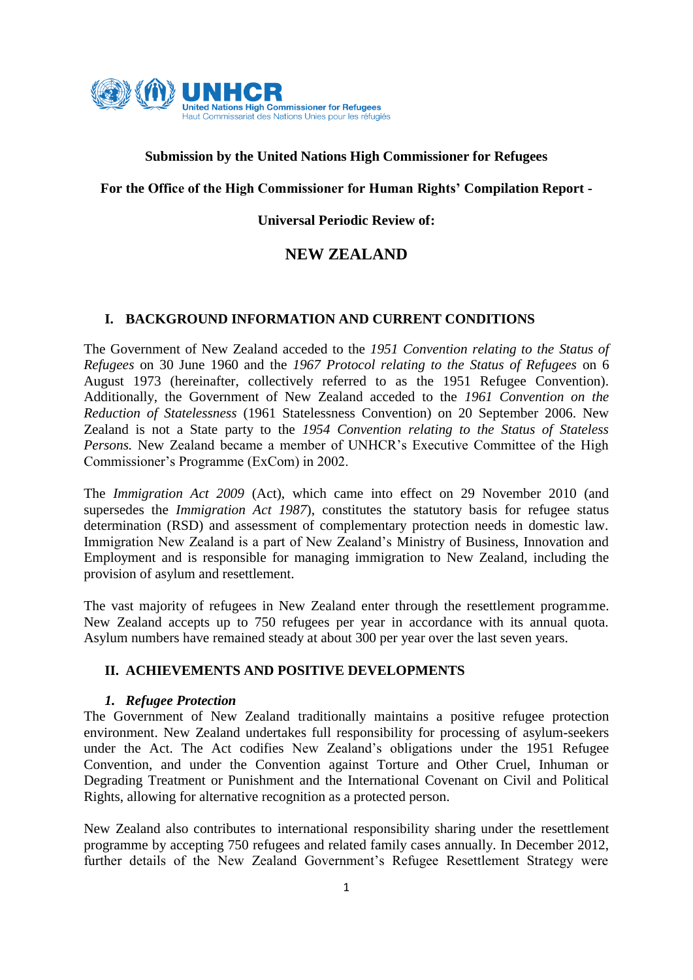

## **Submission by the United Nations High Commissioner for Refugees**

**For the Office of the High Commissioner for Human Rights' Compilation Report -**

## **Universal Periodic Review of:**

# **NEW ZEALAND**

## **I. BACKGROUND INFORMATION AND CURRENT CONDITIONS**

The Government of New Zealand acceded to the *1951 Convention relating to the Status of Refugees* on 30 June 1960 and the *1967 Protocol relating to the Status of Refugees* on 6 August 1973 (hereinafter, collectively referred to as the 1951 Refugee Convention). Additionally, the Government of New Zealand acceded to the *1961 Convention on the Reduction of Statelessness* (1961 Statelessness Convention) on 20 September 2006. New Zealand is not a State party to the *1954 Convention relating to the Status of Stateless Persons.* New Zealand became a member of UNHCR's Executive Committee of the High Commissioner's Programme (ExCom) in 2002.

The *Immigration Act 2009* (Act), which came into effect on 29 November 2010 (and supersedes the *Immigration Act 1987*), constitutes the statutory basis for refugee status determination (RSD) and assessment of complementary protection needs in domestic law. Immigration New Zealand is a part of New Zealand's Ministry of Business, Innovation and Employment and is responsible for managing immigration to New Zealand, including the provision of asylum and resettlement.

The vast majority of refugees in New Zealand enter through the resettlement programme. New Zealand accepts up to 750 refugees per year in accordance with its annual quota. Asylum numbers have remained steady at about 300 per year over the last seven years.

## **II. ACHIEVEMENTS AND POSITIVE DEVELOPMENTS**

## *1. Refugee Protection*

The Government of New Zealand traditionally maintains a positive refugee protection environment. New Zealand undertakes full responsibility for processing of asylum-seekers under the Act. The Act codifies New Zealand's obligations under the 1951 Refugee Convention, and under the Convention against Torture and Other Cruel, Inhuman or Degrading Treatment or Punishment and the International Covenant on Civil and Political Rights, allowing for alternative recognition as a protected person.

New Zealand also contributes to international responsibility sharing under the resettlement programme by accepting 750 refugees and related family cases annually. In December 2012, further details of the New Zealand Government's Refugee Resettlement Strategy were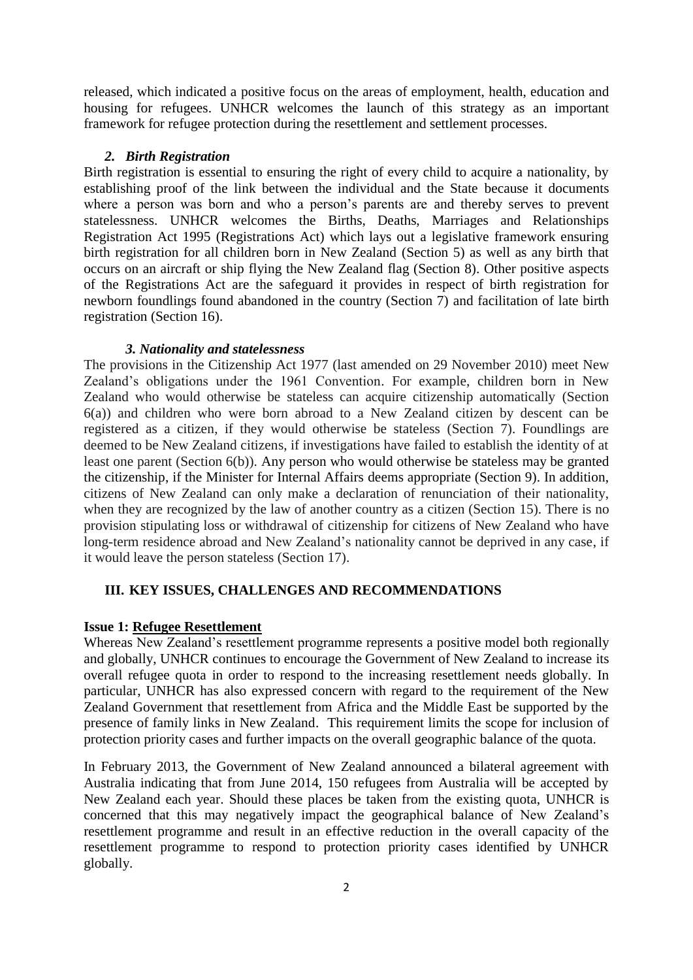released, which indicated a positive focus on the areas of employment, health, education and housing for refugees. UNHCR welcomes the launch of this strategy as an important framework for refugee protection during the resettlement and settlement processes.

#### *2. Birth Registration*

Birth registration is essential to ensuring the right of every child to acquire a nationality, by establishing proof of the link between the individual and the State because it documents where a person was born and who a person's parents are and thereby serves to prevent statelessness. UNHCR welcomes the Births, Deaths, Marriages and Relationships Registration Act 1995 (Registrations Act) which lays out a legislative framework ensuring birth registration for all children born in New Zealand (Section 5) as well as any birth that occurs on an aircraft or ship flying the New Zealand flag (Section 8). Other positive aspects of the Registrations Act are the safeguard it provides in respect of birth registration for newborn foundlings found abandoned in the country (Section 7) and facilitation of late birth registration (Section 16).

### *3. Nationality and statelessness*

The provisions in the Citizenship Act 1977 (last amended on 29 November 2010) meet New Zealand's obligations under the 1961 Convention. For example, children born in New Zealand who would otherwise be stateless can acquire citizenship automatically (Section 6(a)) and children who were born abroad to a New Zealand citizen by descent can be registered as a citizen, if they would otherwise be stateless (Section 7). Foundlings are deemed to be New Zealand citizens, if investigations have failed to establish the identity of at least one parent (Section 6(b)). Any person who would otherwise be stateless may be granted the citizenship, if the Minister for Internal Affairs deems appropriate (Section 9). In addition, citizens of New Zealand can only make a declaration of renunciation of their nationality, when they are recognized by the law of another country as a citizen (Section 15). There is no provision stipulating loss or withdrawal of citizenship for citizens of New Zealand who have long-term residence abroad and New Zealand's nationality cannot be deprived in any case, if it would leave the person stateless (Section 17).

### **III. KEY ISSUES, CHALLENGES AND RECOMMENDATIONS**

### **Issue 1: Refugee Resettlement**

Whereas New Zealand's resettlement programme represents a positive model both regionally and globally, UNHCR continues to encourage the Government of New Zealand to increase its overall refugee quota in order to respond to the increasing resettlement needs globally. In particular, UNHCR has also expressed concern with regard to the requirement of the New Zealand Government that resettlement from Africa and the Middle East be supported by the presence of family links in New Zealand. This requirement limits the scope for inclusion of protection priority cases and further impacts on the overall geographic balance of the quota.

In February 2013, the Government of New Zealand announced a bilateral agreement with Australia indicating that from June 2014, 150 refugees from Australia will be accepted by New Zealand each year. Should these places be taken from the existing quota, UNHCR is concerned that this may negatively impact the geographical balance of New Zealand's resettlement programme and result in an effective reduction in the overall capacity of the resettlement programme to respond to protection priority cases identified by UNHCR globally.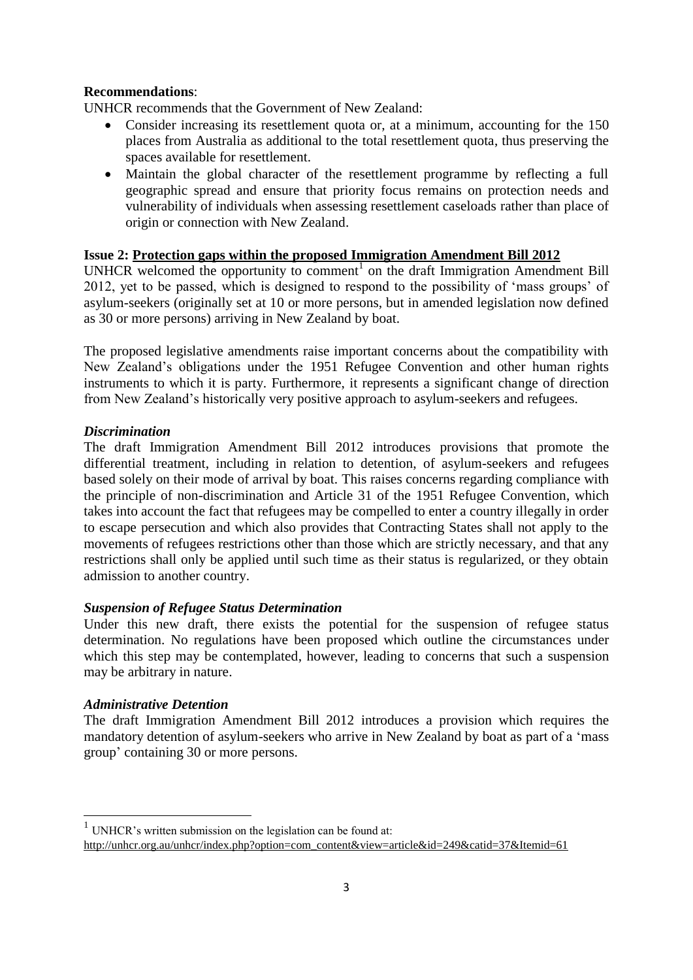## **Recommendations**:

UNHCR recommends that the Government of New Zealand:

- Consider increasing its resettlement quota or, at a minimum, accounting for the 150 places from Australia as additional to the total resettlement quota, thus preserving the spaces available for resettlement.
- Maintain the global character of the resettlement programme by reflecting a full geographic spread and ensure that priority focus remains on protection needs and vulnerability of individuals when assessing resettlement caseloads rather than place of origin or connection with New Zealand.

## **Issue 2: Protection gaps within the proposed Immigration Amendment Bill 2012**

UNHCR welcomed the opportunity to comment<sup>1</sup> on the draft Immigration Amendment Bill 2012, yet to be passed, which is designed to respond to the possibility of 'mass groups' of asylum-seekers (originally set at 10 or more persons, but in amended legislation now defined as 30 or more persons) arriving in New Zealand by boat.

The proposed legislative amendments raise important concerns about the compatibility with New Zealand's obligations under the 1951 Refugee Convention and other human rights instruments to which it is party. Furthermore, it represents a significant change of direction from New Zealand's historically very positive approach to asylum-seekers and refugees.

## *Discrimination*

The draft Immigration Amendment Bill 2012 introduces provisions that promote the differential treatment, including in relation to detention, of asylum-seekers and refugees based solely on their mode of arrival by boat. This raises concerns regarding compliance with the principle of non-discrimination and Article 31 of the 1951 Refugee Convention, which takes into account the fact that refugees may be compelled to enter a country illegally in order to escape persecution and which also provides that Contracting States shall not apply to the movements of refugees restrictions other than those which are strictly necessary, and that any restrictions shall only be applied until such time as their status is regularized, or they obtain admission to another country.

## *Suspension of Refugee Status Determination*

Under this new draft, there exists the potential for the suspension of refugee status determination. No regulations have been proposed which outline the circumstances under which this step may be contemplated, however, leading to concerns that such a suspension may be arbitrary in nature.

## *Administrative Detention*

The draft Immigration Amendment Bill 2012 introduces a provision which requires the mandatory detention of asylum-seekers who arrive in New Zealand by boat as part of a 'mass group' containing 30 or more persons.

 1 UNHCR's written submission on the legislation can be found at:

[http://unhcr.org.au/unhcr/index.php?option=com\\_content&view=article&id=249&catid=37&Itemid=61](http://unhcr.org.au/unhcr/index.php?option=com_content&view=article&id=249&catid=37&Itemid=61)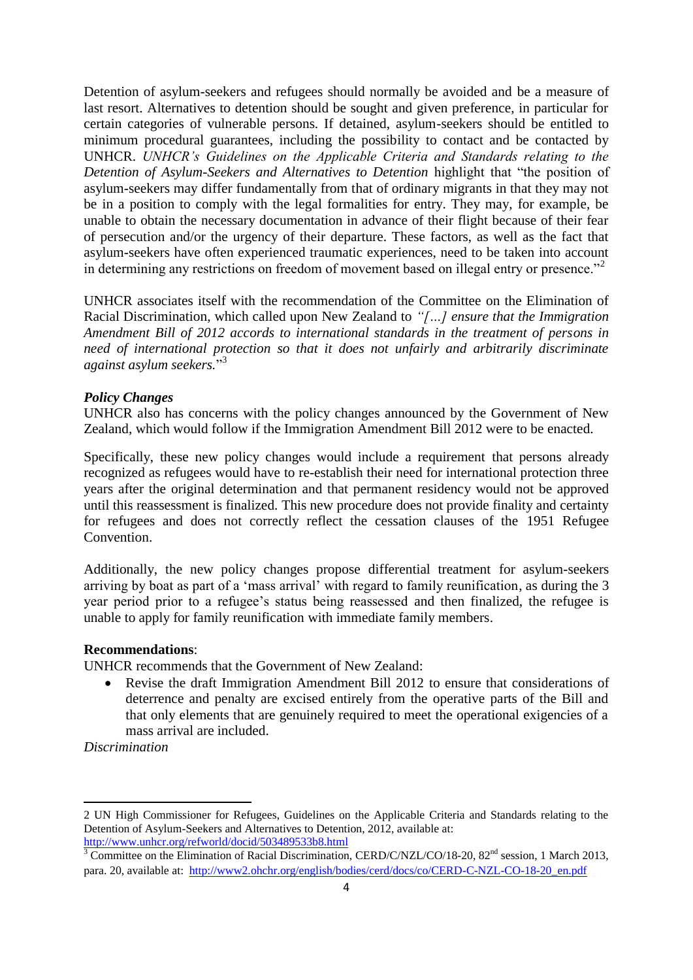Detention of asylum-seekers and refugees should normally be avoided and be a measure of last resort. Alternatives to detention should be sought and given preference, in particular for certain categories of vulnerable persons. If detained, asylum-seekers should be entitled to minimum procedural guarantees, including the possibility to contact and be contacted by UNHCR. *UNHCR's Guidelines on the Applicable Criteria and Standards relating to the Detention of Asylum-Seekers and Alternatives to Detention* highlight that "the position of asylum-seekers may differ fundamentally from that of ordinary migrants in that they may not be in a position to comply with the legal formalities for entry. They may, for example, be unable to obtain the necessary documentation in advance of their flight because of their fear of persecution and/or the urgency of their departure. These factors, as well as the fact that asylum-seekers have often experienced traumatic experiences, need to be taken into account in determining any restrictions on freedom of movement based on illegal entry or presence."<sup>2</sup>

UNHCR associates itself with the recommendation of the Committee on the Elimination of Racial Discrimination, which called upon New Zealand to *"[…] ensure that the Immigration Amendment Bill of 2012 accords to international standards in the treatment of persons in need of international protection so that it does not unfairly and arbitrarily discriminate against asylum seekers.*" 3

#### *Policy Changes*

UNHCR also has concerns with the policy changes announced by the Government of New Zealand, which would follow if the Immigration Amendment Bill 2012 were to be enacted.

Specifically, these new policy changes would include a requirement that persons already recognized as refugees would have to re-establish their need for international protection three years after the original determination and that permanent residency would not be approved until this reassessment is finalized. This new procedure does not provide finality and certainty for refugees and does not correctly reflect the cessation clauses of the 1951 Refugee Convention.

Additionally, the new policy changes propose differential treatment for asylum-seekers arriving by boat as part of a 'mass arrival' with regard to family reunification, as during the 3 year period prior to a refugee's status being reassessed and then finalized, the refugee is unable to apply for family reunification with immediate family members.

### **Recommendations**:

UNHCR recommends that the Government of New Zealand:

 Revise the draft Immigration Amendment Bill 2012 to ensure that considerations of deterrence and penalty are excised entirely from the operative parts of the Bill and that only elements that are genuinely required to meet the operational exigencies of a mass arrival are included.

*Discrimination* 

1

<sup>2</sup> UN High Commissioner for Refugees, Guidelines on the Applicable Criteria and Standards relating to the Detention of Asylum-Seekers and Alternatives to Detention, 2012, available at: <http://www.unhcr.org/refworld/docid/503489533b8.html>

 $3$  Committee on the Elimination of Racial Discrimination, CERD/C/NZL/CO/18-20, 82<sup>nd</sup> session, 1 March 2013, para. 20, available at: [http://www2.ohchr.org/english/bodies/cerd/docs/co/CERD-C-NZL-CO-18-20\\_en.pdf](http://www2.ohchr.org/english/bodies/cerd/docs/co/CERD-C-NZL-CO-18-20_en.pdf)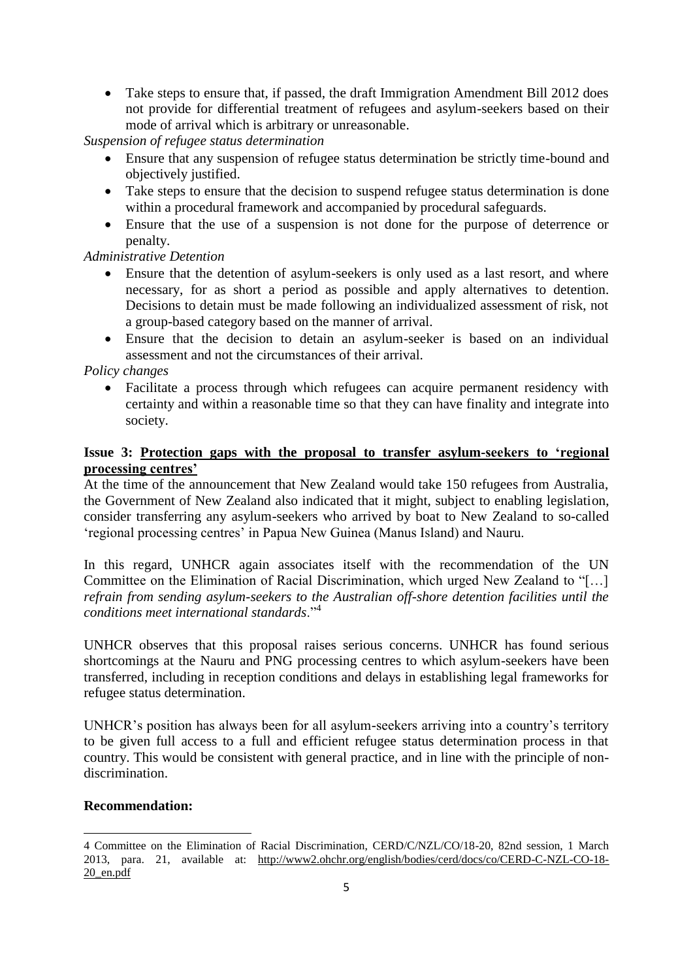• Take steps to ensure that, if passed, the draft Immigration Amendment Bill 2012 does not provide for differential treatment of refugees and asylum-seekers based on their mode of arrival which is arbitrary or unreasonable.

*Suspension of refugee status determination*

- Ensure that any suspension of refugee status determination be strictly time-bound and objectively justified.
- Take steps to ensure that the decision to suspend refugee status determination is done within a procedural framework and accompanied by procedural safeguards.
- Ensure that the use of a suspension is not done for the purpose of deterrence or penalty.

## *Administrative Detention*

- Ensure that the detention of asylum-seekers is only used as a last resort, and where necessary, for as short a period as possible and apply alternatives to detention. Decisions to detain must be made following an individualized assessment of risk, not a group-based category based on the manner of arrival.
- Ensure that the decision to detain an asylum-seeker is based on an individual assessment and not the circumstances of their arrival.

### *Policy changes*

 Facilitate a process through which refugees can acquire permanent residency with certainty and within a reasonable time so that they can have finality and integrate into society.

## **Issue 3: Protection gaps with the proposal to transfer asylum-seekers to 'regional processing centres'**

At the time of the announcement that New Zealand would take 150 refugees from Australia, the Government of New Zealand also indicated that it might, subject to enabling legislation, consider transferring any asylum-seekers who arrived by boat to New Zealand to so-called 'regional processing centres' in Papua New Guinea (Manus Island) and Nauru.

In this regard, UNHCR again associates itself with the recommendation of the UN Committee on the Elimination of Racial Discrimination, which urged New Zealand to "[…] *refrain from sending asylum-seekers to the Australian off-shore detention facilities until the conditions meet international standards*."<sup>4</sup>

UNHCR observes that this proposal raises serious concerns. UNHCR has found serious shortcomings at the Nauru and PNG processing centres to which asylum-seekers have been transferred, including in reception conditions and delays in establishing legal frameworks for refugee status determination.

UNHCR's position has always been for all asylum-seekers arriving into a country's territory to be given full access to a full and efficient refugee status determination process in that country. This would be consistent with general practice, and in line with the principle of nondiscrimination.

### **Recommendation:**

1

<sup>4</sup> Committee on the Elimination of Racial Discrimination, CERD/C/NZL/CO/18-20, 82nd session, 1 March 2013, para. 21, available at: [http://www2.ohchr.org/english/bodies/cerd/docs/co/CERD-C-NZL-CO-18-](http://www2.ohchr.org/english/bodies/cerd/docs/co/CERD-C-NZL-CO-18-20_en.pdf) [20\\_en.pdf](http://www2.ohchr.org/english/bodies/cerd/docs/co/CERD-C-NZL-CO-18-20_en.pdf)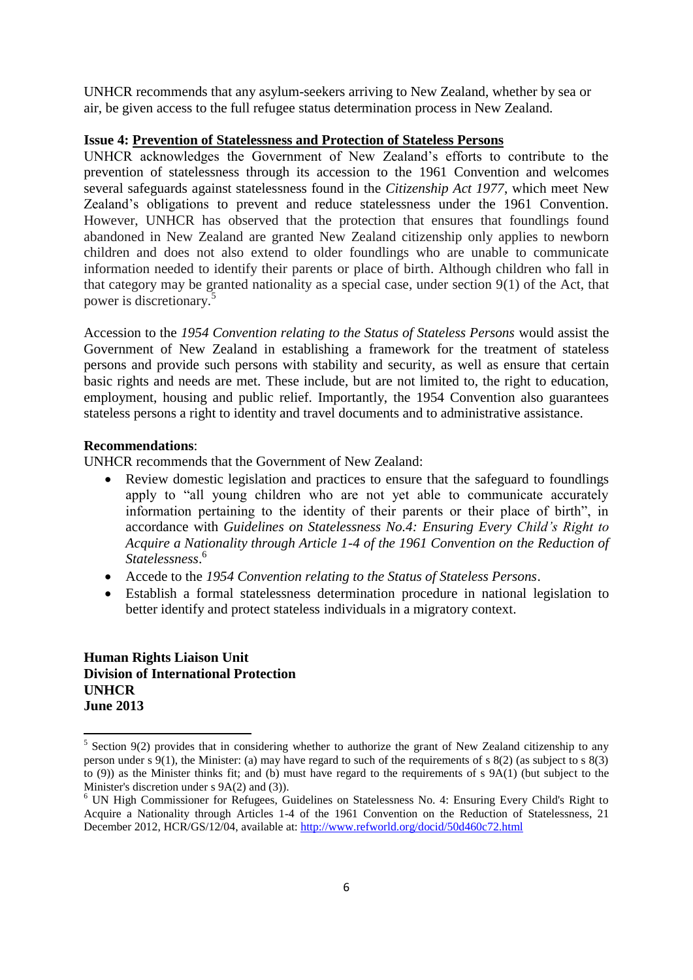UNHCR recommends that any asylum-seekers arriving to New Zealand, whether by sea or air, be given access to the full refugee status determination process in New Zealand.

#### **Issue 4: Prevention of Statelessness and Protection of Stateless Persons**

UNHCR acknowledges the Government of New Zealand's efforts to contribute to the prevention of statelessness through its accession to the 1961 Convention and welcomes several safeguards against statelessness found in the *Citizenship Act 1977*, which meet New Zealand's obligations to prevent and reduce statelessness under the 1961 Convention*.* However, UNHCR has observed that the protection that ensures that foundlings found abandoned in New Zealand are granted New Zealand citizenship only applies to newborn children and does not also extend to older foundlings who are unable to communicate information needed to identify their parents or place of birth. Although children who fall in that category may be granted nationality as a special case, under section 9(1) of the Act, that power is discretionary.<sup>5</sup>

Accession to the *1954 Convention relating to the Status of Stateless Persons* would assist the Government of New Zealand in establishing a framework for the treatment of stateless persons and provide such persons with stability and security, as well as ensure that certain basic rights and needs are met. These include, but are not limited to, the right to education, employment, housing and public relief. Importantly, the 1954 Convention also guarantees stateless persons a right to identity and travel documents and to administrative assistance.

### **Recommendations**:

UNHCR recommends that the Government of New Zealand:

- Review domestic legislation and practices to ensure that the safeguard to foundlings apply to "all young children who are not yet able to communicate accurately information pertaining to the identity of their parents or their place of birth", in accordance with *Guidelines on Statelessness No.4: Ensuring Every Child's Right to Acquire a Nationality through Article 1-4 of the 1961 Convention on the Reduction of Statelessness*. 6
- Accede to the *1954 Convention relating to the Status of Stateless Persons*.
- Establish a formal statelessness determination procedure in national legislation to better identify and protect stateless individuals in a migratory context.

**Human Rights Liaison Unit Division of International Protection UNHCR June 2013**

<sup>&</sup>lt;sup>5</sup> Section 9(2) provides that in considering whether to authorize the grant of New Zealand citizenship to any person under s  $9(1)$ , the Minister: (a) may have regard to such of the requirements of s  $8(2)$  (as subject to s  $8(3)$ ) to (9)) as the Minister thinks fit; and (b) must have regard to the requirements of s 9A(1) (but subject to the Minister's discretion under s 9A(2) and (3)).

<sup>6</sup> UN High Commissioner for Refugees, Guidelines on Statelessness No. 4: Ensuring Every Child's Right to Acquire a Nationality through Articles 1-4 of the 1961 Convention on the Reduction of Statelessness, 21 December 2012, HCR/GS/12/04, available at:<http://www.refworld.org/docid/50d460c72.html>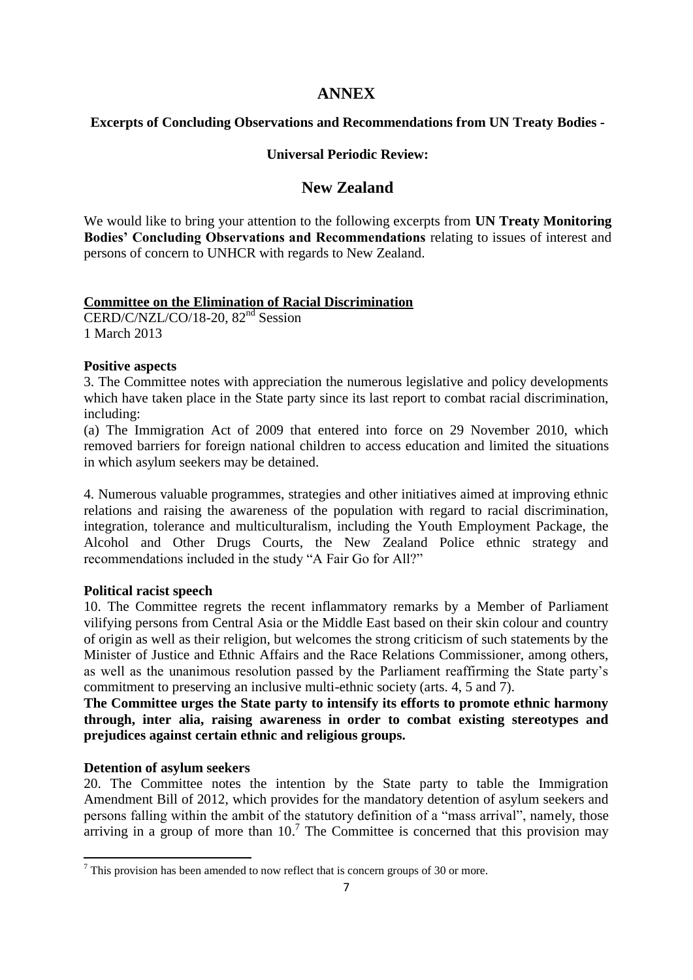# **ANNEX**

## **Excerpts of Concluding Observations and Recommendations from UN Treaty Bodies -**

## **Universal Periodic Review:**

# **New Zealand**

We would like to bring your attention to the following excerpts from **UN Treaty Monitoring Bodies' Concluding Observations and Recommendations** relating to issues of interest and persons of concern to UNHCR with regards to New Zealand.

## **Committee on the Elimination of Racial Discrimination**

CERD/C/NZL/CO/18-20, 82<sup>nd</sup> Session 1 March 2013

## **Positive aspects**

3. The Committee notes with appreciation the numerous legislative and policy developments which have taken place in the State party since its last report to combat racial discrimination, including:

(a) The Immigration Act of 2009 that entered into force on 29 November 2010, which removed barriers for foreign national children to access education and limited the situations in which asylum seekers may be detained.

4. Numerous valuable programmes, strategies and other initiatives aimed at improving ethnic relations and raising the awareness of the population with regard to racial discrimination, integration, tolerance and multiculturalism, including the Youth Employment Package, the Alcohol and Other Drugs Courts, the New Zealand Police ethnic strategy and recommendations included in the study "A Fair Go for All?"

## **Political racist speech**

10. The Committee regrets the recent inflammatory remarks by a Member of Parliament vilifying persons from Central Asia or the Middle East based on their skin colour and country of origin as well as their religion, but welcomes the strong criticism of such statements by the Minister of Justice and Ethnic Affairs and the Race Relations Commissioner, among others, as well as the unanimous resolution passed by the Parliament reaffirming the State party's commitment to preserving an inclusive multi-ethnic society (arts. 4, 5 and 7).

**The Committee urges the State party to intensify its efforts to promote ethnic harmony through, inter alia, raising awareness in order to combat existing stereotypes and prejudices against certain ethnic and religious groups.**

# **Detention of asylum seekers**

20. The Committee notes the intention by the State party to table the Immigration Amendment Bill of 2012, which provides for the mandatory detention of asylum seekers and persons falling within the ambit of the statutory definition of a "mass arrival", namely, those arriving in a group of more than  $10<sup>7</sup>$  The Committee is concerned that this provision may

<sup>.</sup>  $<sup>7</sup>$  This provision has been amended to now reflect that is concern groups of 30 or more.</sup>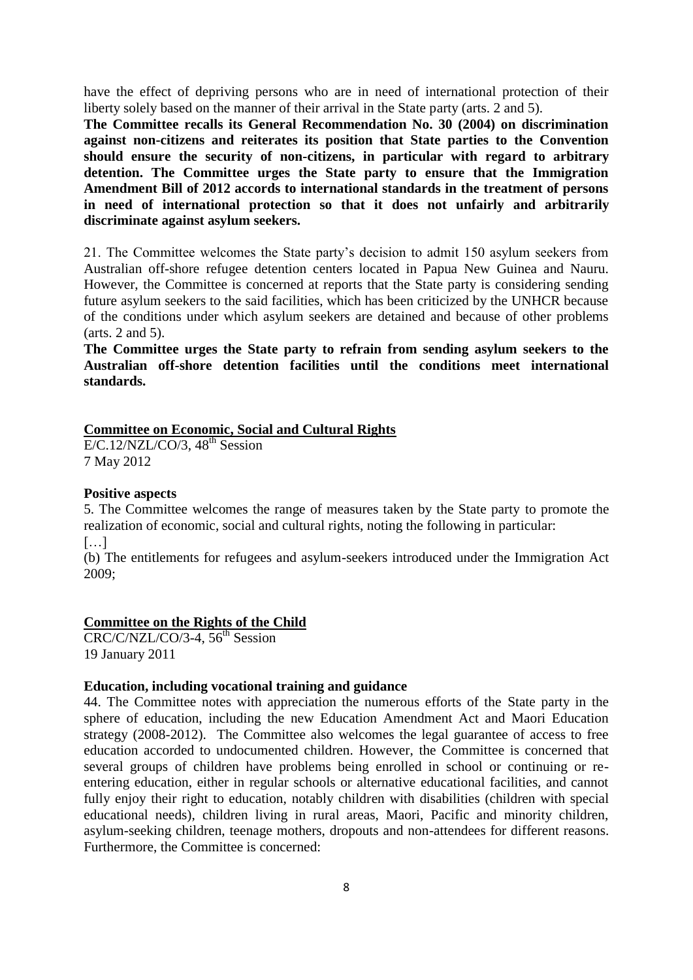have the effect of depriving persons who are in need of international protection of their liberty solely based on the manner of their arrival in the State party (arts. 2 and 5).

**The Committee recalls its General Recommendation No. 30 (2004) on discrimination against non-citizens and reiterates its position that State parties to the Convention should ensure the security of non-citizens, in particular with regard to arbitrary detention. The Committee urges the State party to ensure that the Immigration Amendment Bill of 2012 accords to international standards in the treatment of persons in need of international protection so that it does not unfairly and arbitrarily discriminate against asylum seekers.**

21. The Committee welcomes the State party's decision to admit 150 asylum seekers from Australian off-shore refugee detention centers located in Papua New Guinea and Nauru. However, the Committee is concerned at reports that the State party is considering sending future asylum seekers to the said facilities, which has been criticized by the UNHCR because of the conditions under which asylum seekers are detained and because of other problems (arts. 2 and 5).

**The Committee urges the State party to refrain from sending asylum seekers to the Australian off-shore detention facilities until the conditions meet international standards.**

## **Committee on Economic, Social and Cultural Rights**

 $E/C.12/NZL/CO/3$ ,  $48<sup>th</sup>$  Session 7 May 2012

### **Positive aspects**

5. The Committee welcomes the range of measures taken by the State party to promote the realization of economic, social and cultural rights, noting the following in particular:  $[\dots]$ 

(b) The entitlements for refugees and asylum-seekers introduced under the Immigration Act 2009;

### **Committee on the Rights of the Child**

 $CRC/C/NZL/CO/3-4$ , 56<sup>th</sup> Session 19 January 2011

### **Education, including vocational training and guidance**

44. The Committee notes with appreciation the numerous efforts of the State party in the sphere of education, including the new Education Amendment Act and Maori Education strategy (2008-2012). The Committee also welcomes the legal guarantee of access to free education accorded to undocumented children. However, the Committee is concerned that several groups of children have problems being enrolled in school or continuing or reentering education, either in regular schools or alternative educational facilities, and cannot fully enjoy their right to education, notably children with disabilities (children with special educational needs), children living in rural areas, Maori, Pacific and minority children, asylum-seeking children, teenage mothers, dropouts and non-attendees for different reasons. Furthermore, the Committee is concerned: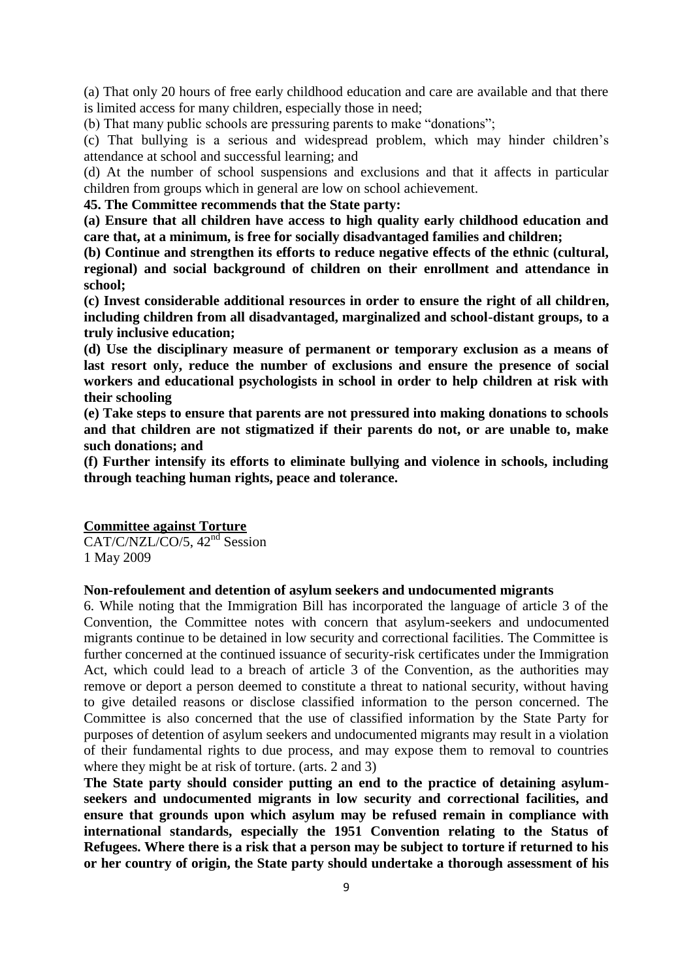(a) That only 20 hours of free early childhood education and care are available and that there is limited access for many children, especially those in need;

(b) That many public schools are pressuring parents to make "donations";

(c) That bullying is a serious and widespread problem, which may hinder children's attendance at school and successful learning; and

(d) At the number of school suspensions and exclusions and that it affects in particular children from groups which in general are low on school achievement.

**45. The Committee recommends that the State party:**

**(a) Ensure that all children have access to high quality early childhood education and care that, at a minimum, is free for socially disadvantaged families and children;**

**(b) Continue and strengthen its efforts to reduce negative effects of the ethnic (cultural, regional) and social background of children on their enrollment and attendance in school;**

**(c) Invest considerable additional resources in order to ensure the right of all children, including children from all disadvantaged, marginalized and school-distant groups, to a truly inclusive education;**

**(d) Use the disciplinary measure of permanent or temporary exclusion as a means of last resort only, reduce the number of exclusions and ensure the presence of social workers and educational psychologists in school in order to help children at risk with their schooling**

**(e) Take steps to ensure that parents are not pressured into making donations to schools and that children are not stigmatized if their parents do not, or are unable to, make such donations; and** 

**(f) Further intensify its efforts to eliminate bullying and violence in schools, including through teaching human rights, peace and tolerance.**

#### **Committee against Torture**

CAT/C/NZL/CO/5, 42<sup>nd</sup> Session 1 May 2009

#### **Non-refoulement and detention of asylum seekers and undocumented migrants**

6. While noting that the Immigration Bill has incorporated the language of article 3 of the Convention, the Committee notes with concern that asylum-seekers and undocumented migrants continue to be detained in low security and correctional facilities. The Committee is further concerned at the continued issuance of security-risk certificates under the Immigration Act, which could lead to a breach of article 3 of the Convention, as the authorities may remove or deport a person deemed to constitute a threat to national security, without having to give detailed reasons or disclose classified information to the person concerned. The Committee is also concerned that the use of classified information by the State Party for purposes of detention of asylum seekers and undocumented migrants may result in a violation of their fundamental rights to due process, and may expose them to removal to countries where they might be at risk of torture. (arts. 2 and 3)

**The State party should consider putting an end to the practice of detaining asylumseekers and undocumented migrants in low security and correctional facilities, and ensure that grounds upon which asylum may be refused remain in compliance with international standards, especially the 1951 Convention relating to the Status of Refugees. Where there is a risk that a person may be subject to torture if returned to his or her country of origin, the State party should undertake a thorough assessment of his**